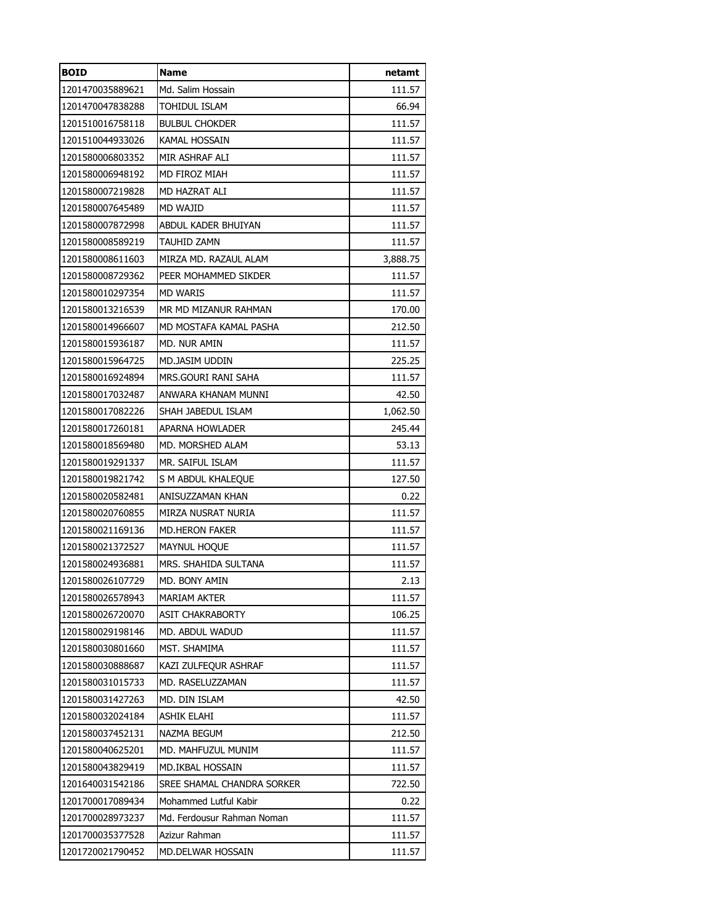| <b>BOID</b>      | <b>Name</b>                | netamt   |
|------------------|----------------------------|----------|
| 1201470035889621 | Md. Salim Hossain          | 111.57   |
| 1201470047838288 | TOHIDUL ISLAM              | 66.94    |
| 1201510016758118 | <b>BULBUL CHOKDER</b>      | 111.57   |
| 1201510044933026 | KAMAL HOSSAIN              | 111.57   |
| 1201580006803352 | MIR ASHRAF ALI             | 111.57   |
| 1201580006948192 | MD FIROZ MIAH              | 111.57   |
| 1201580007219828 | MD HAZRAT ALI              | 111.57   |
| 1201580007645489 | MD WAJID                   | 111.57   |
| 1201580007872998 | ABDUL KADER BHUIYAN        | 111.57   |
| 1201580008589219 | TAUHID ZAMN                | 111.57   |
| 1201580008611603 | MIRZA MD. RAZAUL ALAM      | 3,888.75 |
| 1201580008729362 | PEER MOHAMMED SIKDER       | 111.57   |
| 1201580010297354 | <b>MD WARIS</b>            | 111.57   |
| 1201580013216539 | MR MD MIZANUR RAHMAN       | 170.00   |
| 1201580014966607 | MD MOSTAFA KAMAL PASHA     | 212.50   |
| 1201580015936187 | MD. NUR AMIN               | 111.57   |
| 1201580015964725 | MD.JASIM UDDIN             | 225.25   |
| 1201580016924894 | MRS.GOURI RANI SAHA        | 111.57   |
| 1201580017032487 | ANWARA KHANAM MUNNI        | 42.50    |
| 1201580017082226 | SHAH JABEDUL ISLAM         | 1,062.50 |
| 1201580017260181 | <b>APARNA HOWLADER</b>     | 245.44   |
| 1201580018569480 | MD. MORSHED ALAM           | 53.13    |
| 1201580019291337 | MR. SAIFUL ISLAM           | 111.57   |
| 1201580019821742 | S M ABDUL KHALEQUE         | 127.50   |
| 1201580020582481 | ANISUZZAMAN KHAN           | 0.22     |
| 1201580020760855 | MIRZA NUSRAT NURIA         | 111.57   |
| 1201580021169136 | MD.HERON FAKER             | 111.57   |
| 1201580021372527 | MAYNUL HOQUE               | 111.57   |
| 1201580024936881 | MRS. SHAHIDA SULTANA       | 111.57   |
| 1201580026107729 | MD. BONY AMIN              | 2.13     |
| 1201580026578943 | <b>MARIAM AKTER</b>        | 111.57   |
| 1201580026720070 | ASIT CHAKRABORTY           | 106.25   |
| 1201580029198146 | MD. ABDUL WADUD            | 111.57   |
| 1201580030801660 | MST. SHAMIMA               | 111.57   |
| 1201580030888687 | KAZI ZULFEQUR ASHRAF       | 111.57   |
| 1201580031015733 | MD. RASELUZZAMAN           | 111.57   |
| 1201580031427263 | MD. DIN ISLAM              | 42.50    |
| 1201580032024184 | <b>ASHIK ELAHI</b>         | 111.57   |
| 1201580037452131 | NAZMA BEGUM                | 212.50   |
| 1201580040625201 | MD. MAHFUZUL MUNIM         | 111.57   |
| 1201580043829419 | MD.IKBAL HOSSAIN           | 111.57   |
| 1201640031542186 | SREE SHAMAL CHANDRA SORKER | 722.50   |
| 1201700017089434 | Mohammed Lutful Kabir      | 0.22     |
| 1201700028973237 | Md. Ferdousur Rahman Noman | 111.57   |
| 1201700035377528 | Azizur Rahman              | 111.57   |
| 1201720021790452 | MD.DELWAR HOSSAIN          | 111.57   |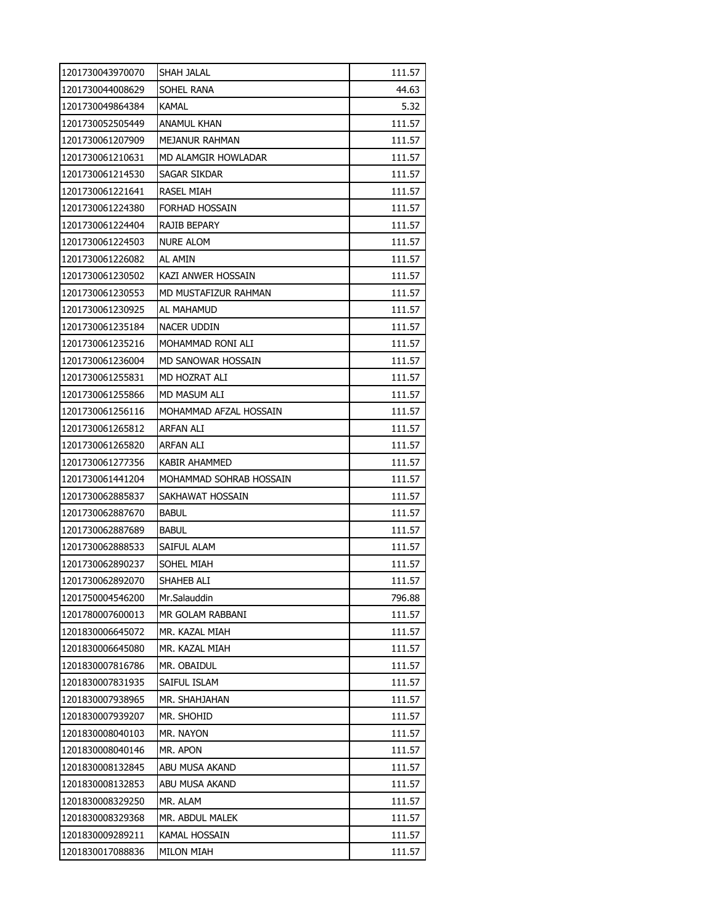| 1201730043970070 | SHAH JALAL              | 111.57 |
|------------------|-------------------------|--------|
| 1201730044008629 | SOHEL RANA              | 44.63  |
| 1201730049864384 | <b>KAMAL</b>            | 5.32   |
| 1201730052505449 | ANAMUL KHAN             | 111.57 |
| 1201730061207909 | MEJANUR RAHMAN          | 111.57 |
| 1201730061210631 | MD ALAMGIR HOWLADAR     | 111.57 |
| 1201730061214530 | Sagar Sikdar            | 111.57 |
| 1201730061221641 | RASEL MIAH              | 111.57 |
| 1201730061224380 | FORHAD HOSSAIN          | 111.57 |
| 1201730061224404 | RAJIB BEPARY            | 111.57 |
| 1201730061224503 | <b>NURE ALOM</b>        | 111.57 |
| 1201730061226082 | AL AMIN                 | 111.57 |
| 1201730061230502 | KAZI ANWER HOSSAIN      | 111.57 |
| 1201730061230553 | MD MUSTAFIZUR RAHMAN    | 111.57 |
| 1201730061230925 | AL MAHAMUD              | 111.57 |
| 1201730061235184 | NACER UDDIN             | 111.57 |
| 1201730061235216 | MOHAMMAD RONI ALI       | 111.57 |
| 1201730061236004 | MD SANOWAR HOSSAIN      | 111.57 |
| 1201730061255831 | MD HOZRAT ALI           | 111.57 |
| 1201730061255866 | MD MASUM ALI            | 111.57 |
| 1201730061256116 | MOHAMMAD AFZAL HOSSAIN  | 111.57 |
| 1201730061265812 | ARFAN ALI               | 111.57 |
| 1201730061265820 | ARFAN ALI               | 111.57 |
| 1201730061277356 | KABIR AHAMMED           | 111.57 |
| 1201730061441204 | MOHAMMAD SOHRAB HOSSAIN | 111.57 |
| 1201730062885837 | SAKHAWAT HOSSAIN        | 111.57 |
| 1201730062887670 | <b>BABUL</b>            | 111.57 |
| 1201730062887689 | <b>BABUL</b>            | 111.57 |
| 1201730062888533 | SAIFUL ALAM             | 111.57 |
| 1201730062890237 | SOHEL MIAH              | 111.57 |
| 1201730062892070 | SHAHEB ALI              | 111.57 |
| 1201750004546200 | Mr.Salauddin            | 796.88 |
| 1201780007600013 | MR GOLAM RABBANI        | 111.57 |
| 1201830006645072 | MR. KAZAL MIAH          | 111.57 |
| 1201830006645080 | MR. KAZAL MIAH          | 111.57 |
| 1201830007816786 | MR. OBAIDUL             | 111.57 |
| 1201830007831935 | SAIFUL ISLAM            | 111.57 |
| 1201830007938965 | MR. SHAHJAHAN           | 111.57 |
| 1201830007939207 | <b>MR. SHOHID</b>       | 111.57 |
| 1201830008040103 | MR. NAYON               | 111.57 |
| 1201830008040146 | MR. APON                | 111.57 |
| 1201830008132845 | ABU MUSA AKAND          | 111.57 |
| 1201830008132853 | ABU MUSA AKAND          | 111.57 |
| 1201830008329250 | MR. ALAM                | 111.57 |
| 1201830008329368 | MR. ABDUL MALEK         | 111.57 |
| 1201830009289211 | KAMAL HOSSAIN           | 111.57 |
| 1201830017088836 | <b>MILON MIAH</b>       | 111.57 |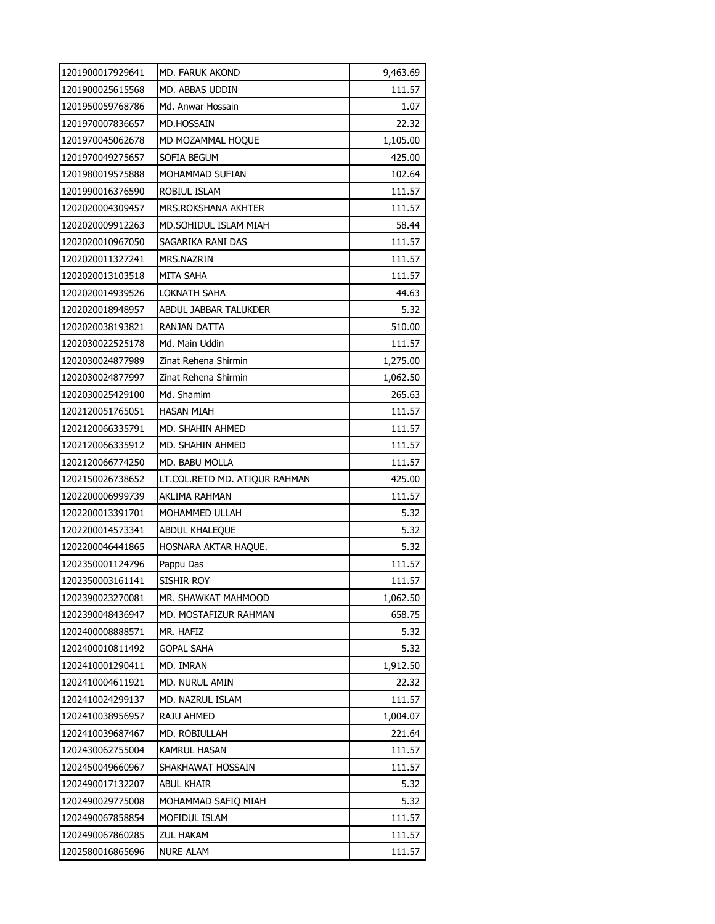| 1201900017929641 | MD. FARUK AKOND               | 9,463.69 |
|------------------|-------------------------------|----------|
| 1201900025615568 | MD. ABBAS UDDIN               | 111.57   |
| 1201950059768786 | Md. Anwar Hossain             | 1.07     |
| 1201970007836657 | <b>MD.HOSSAIN</b>             | 22.32    |
| 1201970045062678 | MD MOZAMMAL HOQUE             | 1,105.00 |
| 1201970049275657 | SOFIA BEGUM                   | 425.00   |
| 1201980019575888 | MOHAMMAD SUFIAN               | 102.64   |
| 1201990016376590 | ROBIUL ISLAM                  | 111.57   |
| 1202020004309457 | MRS.ROKSHANA AKHTER           | 111.57   |
| 1202020009912263 | MD.SOHIDUL ISLAM MIAH         | 58.44    |
| 1202020010967050 | SAGARIKA RANI DAS             | 111.57   |
| 1202020011327241 | MRS.NAZRIN                    | 111.57   |
| 1202020013103518 | MITA SAHA                     | 111.57   |
| 1202020014939526 | LOKNATH SAHA                  | 44.63    |
| 1202020018948957 | ABDUL JABBAR TALUKDER         | 5.32     |
| 1202020038193821 | RANJAN DATTA                  | 510.00   |
| 1202030022525178 | Md. Main Uddin                | 111.57   |
| 1202030024877989 | Zinat Rehena Shirmin          | 1,275.00 |
| 1202030024877997 | Zinat Rehena Shirmin          | 1,062.50 |
| 1202030025429100 | Md. Shamim                    | 265.63   |
| 1202120051765051 | HASAN MIAH                    | 111.57   |
| 1202120066335791 | MD. SHAHIN AHMED              | 111.57   |
| 1202120066335912 | MD. SHAHIN AHMED              | 111.57   |
| 1202120066774250 | MD. BABU MOLLA                | 111.57   |
| 1202150026738652 | LT.COL.RETD MD. ATIQUR RAHMAN | 425.00   |
| 1202200006999739 | AKLIMA RAHMAN                 | 111.57   |
| 1202200013391701 | MOHAMMED ULLAH                | 5.32     |
| 1202200014573341 | ABDUL KHALEQUE                | 5.32     |
| 1202200046441865 | HOSNARA AKTAR HAQUE.          | 5.32     |
| 1202350001124796 | Pappu Das                     | 111.57   |
| 1202350003161141 | SISHIR ROY                    | 111.57   |
| 1202390023270081 | MR. SHAWKAT MAHMOOD           | 1,062.50 |
| 1202390048436947 | MD. MOSTAFIZUR RAHMAN         | 658.75   |
| 1202400008888571 | MR. HAFIZ                     | 5.32     |
| 1202400010811492 | <b>GOPAL SAHA</b>             | 5.32     |
| 1202410001290411 | MD. IMRAN                     | 1,912.50 |
| 1202410004611921 | MD. NURUL AMIN                | 22.32    |
| 1202410024299137 | MD. NAZRUL ISLAM              | 111.57   |
| 1202410038956957 | RAJU AHMED                    | 1,004.07 |
| 1202410039687467 | MD. ROBIULLAH                 | 221.64   |
| 1202430062755004 | KAMRUL HASAN                  | 111.57   |
| 1202450049660967 | SHAKHAWAT HOSSAIN             | 111.57   |
| 1202490017132207 | abul khair                    | 5.32     |
| 1202490029775008 | MOHAMMAD SAFIQ MIAH           | 5.32     |
| 1202490067858854 | MOFIDUL ISLAM                 | 111.57   |
| 1202490067860285 | ZUL HAKAM                     | 111.57   |
| 1202580016865696 | <b>NURE ALAM</b>              | 111.57   |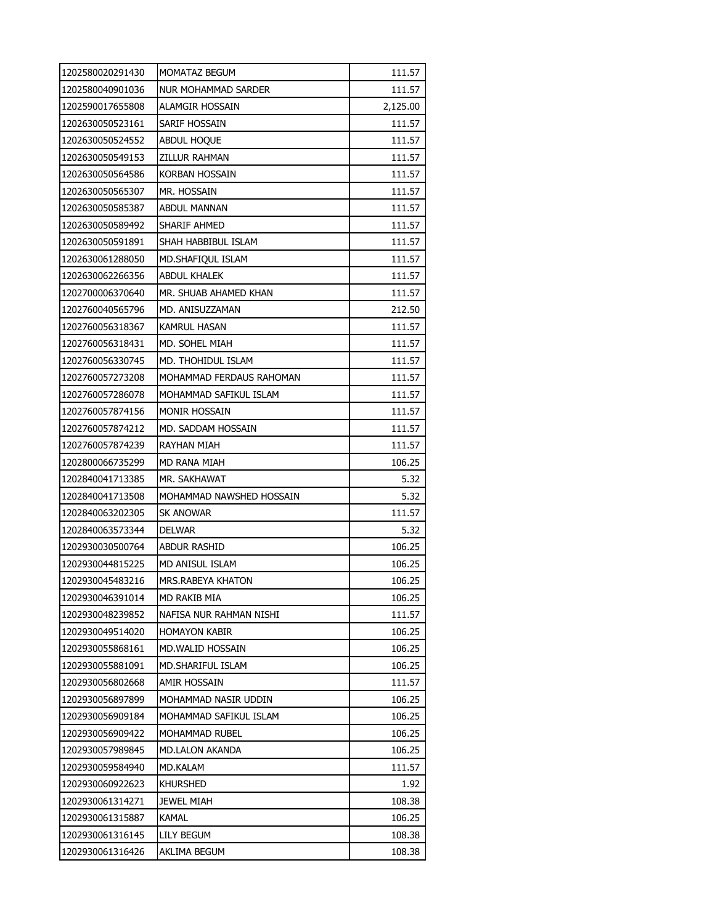| 1202580020291430 | MOMATAZ BEGUM            | 111.57   |
|------------------|--------------------------|----------|
| 1202580040901036 | NUR MOHAMMAD SARDER      | 111.57   |
| 1202590017655808 | ALAMGIR HOSSAIN          | 2,125.00 |
| 1202630050523161 | SARIF HOSSAIN            | 111.57   |
| 1202630050524552 | <b>ABDUL HOQUE</b>       | 111.57   |
| 1202630050549153 | ZILLUR RAHMAN            | 111.57   |
| 1202630050564586 | Korban Hossain           | 111.57   |
| 1202630050565307 | mr. Hossain              | 111.57   |
| 1202630050585387 | <b>ABDUL MANNAN</b>      | 111.57   |
| 1202630050589492 | SHARIF AHMED             | 111.57   |
| 1202630050591891 | SHAH HABBIBUL ISLAM      | 111.57   |
| 1202630061288050 | MD.SHAFIQUL ISLAM        | 111.57   |
| 1202630062266356 | ABDUL KHALEK             | 111.57   |
| 1202700006370640 | MR. SHUAB AHAMED KHAN    | 111.57   |
| 1202760040565796 | MD. ANISUZZAMAN          | 212.50   |
| 1202760056318367 | KAMRUL HASAN             | 111.57   |
| 1202760056318431 | MD. SOHEL MIAH           | 111.57   |
| 1202760056330745 | MD. THOHIDUL ISLAM       | 111.57   |
| 1202760057273208 | MOHAMMAD FERDAUS RAHOMAN | 111.57   |
| 1202760057286078 | MOHAMMAD SAFIKUL ISLAM   | 111.57   |
| 1202760057874156 | <b>MONIR HOSSAIN</b>     | 111.57   |
| 1202760057874212 | MD. SADDAM HOSSAIN       | 111.57   |
| 1202760057874239 | RAYHAN MIAH              | 111.57   |
| 1202800066735299 | MD RANA MIAH             | 106.25   |
| 1202840041713385 | MR. SAKHAWAT             | 5.32     |
| 1202840041713508 | MOHAMMAD NAWSHED HOSSAIN | 5.32     |
| 1202840063202305 | sk anowar                | 111.57   |
| 1202840063573344 | <b>DELWAR</b>            | 5.32     |
| 1202930030500764 | ABDUR RASHID             | 106.25   |
| 1202930044815225 | MD ANISUL ISLAM          | 106.25   |
| 1202930045483216 | <b>MRS.RABEYA KHATON</b> | 106.25   |
| 1202930046391014 | MD RAKIB MIA             | 106.25   |
| 1202930048239852 | NAFISA NUR RAHMAN NISHI  | 111.57   |
| 1202930049514020 | HOMAYON KABIR            | 106.25   |
| 1202930055868161 | MD.WALID HOSSAIN         | 106.25   |
| 1202930055881091 | MD.SHARIFUL ISLAM        | 106.25   |
| 1202930056802668 | amir hossain             | 111.57   |
| 1202930056897899 | MOHAMMAD NASIR UDDIN     | 106.25   |
| 1202930056909184 | MOHAMMAD SAFIKUL ISLAM   | 106.25   |
| 1202930056909422 | MOHAMMAD RUBEL           | 106.25   |
| 1202930057989845 | MD.LALON AKANDA          | 106.25   |
| 1202930059584940 | MD.KALAM                 | 111.57   |
| 1202930060922623 | <b>KHURSHED</b>          | 1.92     |
| 1202930061314271 | JEWEL MIAH               | 108.38   |
| 1202930061315887 | KAMAL                    | 106.25   |
| 1202930061316145 | LILY BEGUM               | 108.38   |
| 1202930061316426 | AKLIMA BEGUM             | 108.38   |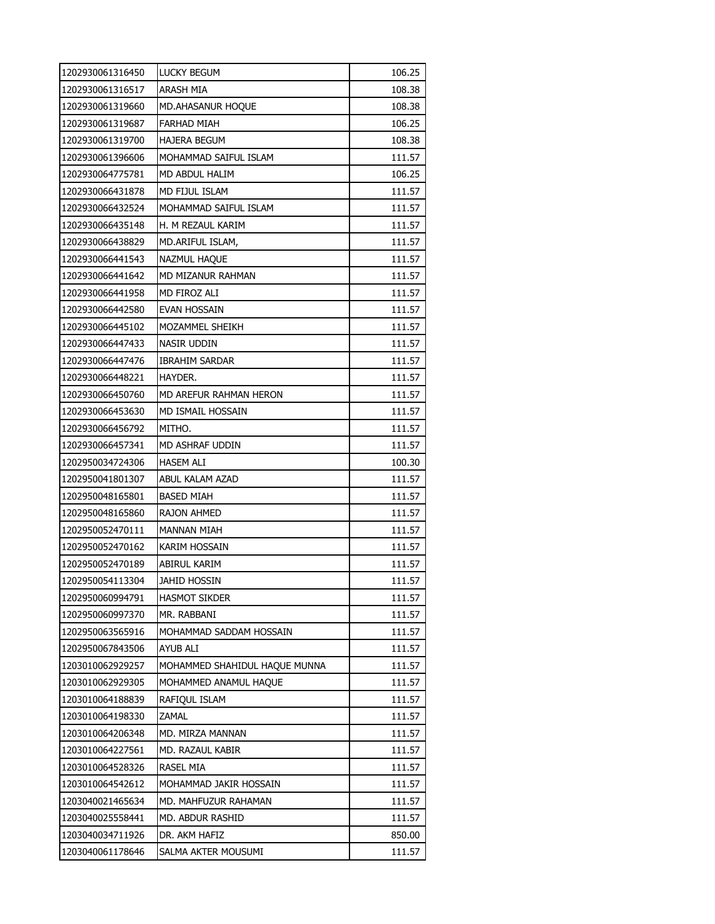| 1202930061316450 | <b>LUCKY BEGUM</b>            | 106.25 |
|------------------|-------------------------------|--------|
| 1202930061316517 | ARASH MIA                     | 108.38 |
| 1202930061319660 | <b>MD.AHASANUR HOQUE</b>      | 108.38 |
| 1202930061319687 | <b>FARHAD MIAH</b>            | 106.25 |
| 1202930061319700 | <b>HAJERA BEGUM</b>           | 108.38 |
| 1202930061396606 | MOHAMMAD SAIFUL ISLAM         | 111.57 |
| 1202930064775781 | MD ABDUL HALIM                | 106.25 |
| 1202930066431878 | MD FIJUL ISLAM                | 111.57 |
| 1202930066432524 | MOHAMMAD SAIFUL ISLAM         | 111.57 |
| 1202930066435148 | H. M REZAUL KARIM             | 111.57 |
| 1202930066438829 | MD.ARIFUL ISLAM,              | 111.57 |
| 1202930066441543 | NAZMUL HAQUE                  | 111.57 |
| 1202930066441642 | MD MIZANUR RAHMAN             | 111.57 |
| 1202930066441958 | MD FIROZ ALI                  | 111.57 |
| 1202930066442580 | evan Hossain                  | 111.57 |
| 1202930066445102 | MOZAMMEL SHEIKH               | 111.57 |
| 1202930066447433 | NASIR UDDIN                   | 111.57 |
| 1202930066447476 | <b>IBRAHIM SARDAR</b>         | 111.57 |
| 1202930066448221 | HAYDER.                       | 111.57 |
| 1202930066450760 | MD AREFUR RAHMAN HERON        | 111.57 |
| 1202930066453630 | MD ISMAIL HOSSAIN             | 111.57 |
| 1202930066456792 | MITHO.                        | 111.57 |
| 1202930066457341 | MD ASHRAF UDDIN               | 111.57 |
| 1202950034724306 | <b>HASEM ALI</b>              | 100.30 |
| 1202950041801307 | ABUL KALAM AZAD               | 111.57 |
| 1202950048165801 | <b>BASED MIAH</b>             | 111.57 |
| 1202950048165860 | RAJON AHMED                   | 111.57 |
| 1202950052470111 | <b>MANNAN MIAH</b>            | 111.57 |
| 1202950052470162 | KARIM HOSSAIN                 | 111.57 |
| 1202950052470189 | <b>ABIRUL KARIM</b>           | 111.57 |
| 1202950054113304 | <b>JAHID HOSSIN</b>           | 111.57 |
| 1202950060994791 | <b>HASMOT SIKDER</b>          | 111.57 |
| 1202950060997370 | MR. RABBANI                   | 111.57 |
| 1202950063565916 | MOHAMMAD SADDAM HOSSAIN       | 111.57 |
| 1202950067843506 | <b>AYUB ALI</b>               | 111.57 |
| 1203010062929257 | MOHAMMED SHAHIDUL HAQUE MUNNA | 111.57 |
| 1203010062929305 | MOHAMMED ANAMUL HAQUE         | 111.57 |
| 1203010064188839 | RAFIQUL ISLAM                 | 111.57 |
| 1203010064198330 | <b>ZAMAL</b>                  | 111.57 |
| 1203010064206348 | MD. MIRZA MANNAN              | 111.57 |
| 1203010064227561 | MD. RAZAUL KABIR              | 111.57 |
| 1203010064528326 | <b>RASEL MIA</b>              | 111.57 |
| 1203010064542612 | MOHAMMAD JAKIR HOSSAIN        | 111.57 |
| 1203040021465634 | MD. MAHFUZUR RAHAMAN          | 111.57 |
| 1203040025558441 | MD. ABDUR RASHID              | 111.57 |
| 1203040034711926 | DR. AKM HAFIZ                 | 850.00 |
| 1203040061178646 | SALMA AKTER MOUSUMI           | 111.57 |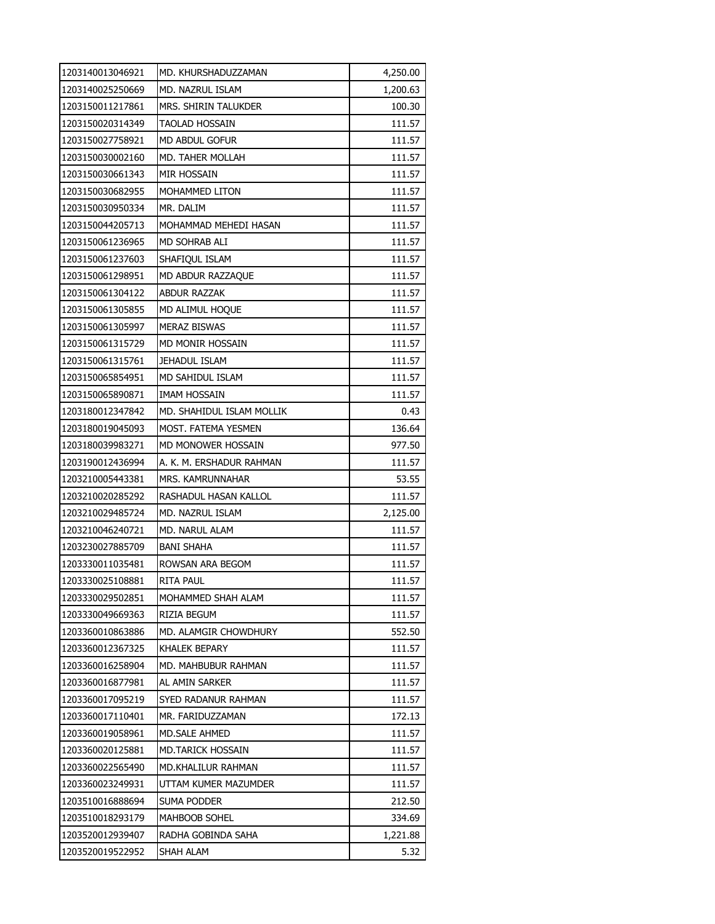| 1203140013046921 | MD. KHURSHADUZZAMAN       | 4,250.00 |
|------------------|---------------------------|----------|
| 1203140025250669 | MD. NAZRUL ISLAM          | 1,200.63 |
| 1203150011217861 | MRS. SHIRIN TALUKDER      | 100.30   |
| 1203150020314349 | <b>TAOLAD HOSSAIN</b>     | 111.57   |
| 1203150027758921 | MD ABDUL GOFUR            | 111.57   |
| 1203150030002160 | MD. TAHER MOLLAH          | 111.57   |
| 1203150030661343 | MIR HOSSAIN               | 111.57   |
| 1203150030682955 | MOHAMMED LITON            | 111.57   |
| 1203150030950334 | MR. DALIM                 | 111.57   |
| 1203150044205713 | MOHAMMAD MEHEDI HASAN     | 111.57   |
| 1203150061236965 | MD SOHRAB ALI             | 111.57   |
| 1203150061237603 | SHAFIQUL ISLAM            | 111.57   |
| 1203150061298951 | MD ABDUR RAZZAQUE         | 111.57   |
| 1203150061304122 | <b>ABDUR RAZZAK</b>       | 111.57   |
| 1203150061305855 | MD ALIMUL HOQUE           | 111.57   |
| 1203150061305997 | <b>MERAZ BISWAS</b>       | 111.57   |
| 1203150061315729 | MD MONIR HOSSAIN          | 111.57   |
| 1203150061315761 | <b>JEHADUL ISLAM</b>      | 111.57   |
| 1203150065854951 | MD SAHIDUL ISLAM          | 111.57   |
| 1203150065890871 | IMAM HOSSAIN              | 111.57   |
| 1203180012347842 | MD. SHAHIDUL ISLAM MOLLIK | 0.43     |
| 1203180019045093 | MOST. FATEMA YESMEN       | 136.64   |
| 1203180039983271 | MD MONOWER HOSSAIN        | 977.50   |
| 1203190012436994 | A. K. M. ERSHADUR RAHMAN  | 111.57   |
| 1203210005443381 | MRS. KAMRUNNAHAR          | 53.55    |
| 1203210020285292 | RASHADUL HASAN KALLOL     | 111.57   |
| 1203210029485724 | MD. NAZRUL ISLAM          | 2,125.00 |
| 1203210046240721 | MD. NARUL ALAM            | 111.57   |
| 1203230027885709 | <b>BANI SHAHA</b>         | 111.57   |
| 1203330011035481 | ROWSAN ARA BEGOM          | 111.57   |
| 1203330025108881 | RITA PAUL                 | 111.57   |
| 1203330029502851 | MOHAMMED SHAH ALAM        | 111.57   |
| 1203330049669363 | RIZIA BEGUM               | 111.57   |
| 1203360010863886 | MD. ALAMGIR CHOWDHURY     | 552.50   |
| 1203360012367325 | KHALEK BEPARY             | 111.57   |
| 1203360016258904 | MD. MAHBUBUR RAHMAN       | 111.57   |
| 1203360016877981 | AL AMIN SARKER            | 111.57   |
| 1203360017095219 | SYED RADANUR RAHMAN       | 111.57   |
| 1203360017110401 | MR. FARIDUZZAMAN          | 172.13   |
| 1203360019058961 | MD.SALE AHMED             | 111.57   |
| 1203360020125881 | MD.TARICK HOSSAIN         | 111.57   |
| 1203360022565490 | MD.KHALILUR RAHMAN        | 111.57   |
| 1203360023249931 | UTTAM KUMER MAZUMDER      | 111.57   |
| 1203510016888694 | SUMA PODDER               | 212.50   |
| 1203510018293179 | MAHBOOB SOHEL             | 334.69   |
| 1203520012939407 | RADHA GOBINDA SAHA        | 1,221.88 |
| 1203520019522952 | SHAH ALAM                 | 5.32     |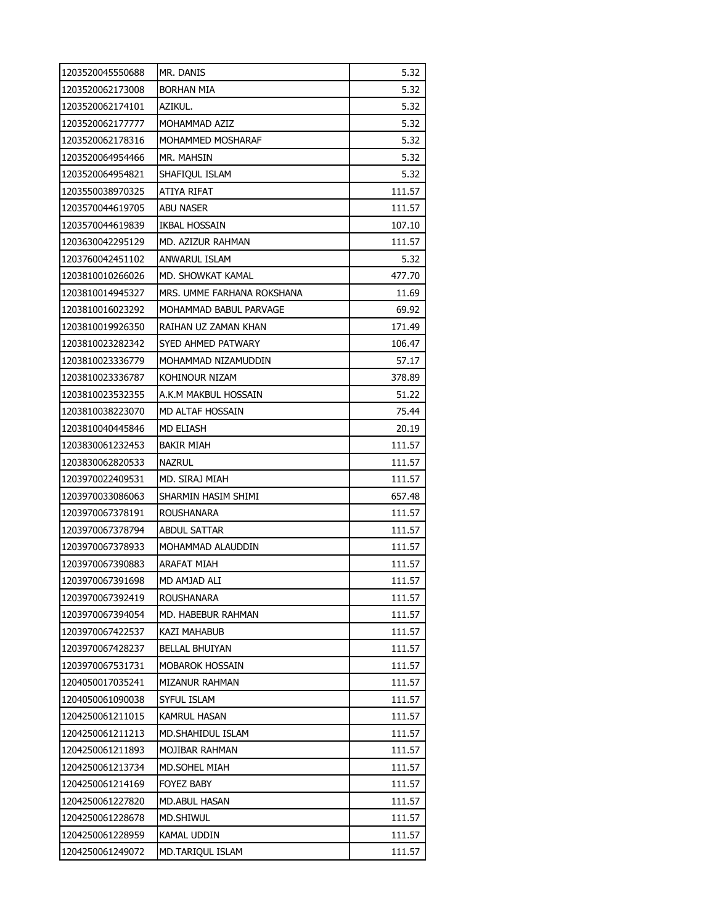| 1203520045550688 | MR. DANIS                  | 5.32   |
|------------------|----------------------------|--------|
| 1203520062173008 | BORHAN MIA                 | 5.32   |
| 1203520062174101 | AZIKUL.                    | 5.32   |
| 1203520062177777 | MOHAMMAD AZIZ              | 5.32   |
| 1203520062178316 | MOHAMMED MOSHARAF          | 5.32   |
| 1203520064954466 | MR. MAHSIN                 | 5.32   |
| 1203520064954821 | SHAFIQUL ISLAM             | 5.32   |
| 1203550038970325 | ATIYA RIFAT                | 111.57 |
| 1203570044619705 | <b>ABU NASER</b>           | 111.57 |
| 1203570044619839 | IKBAL HOSSAIN              | 107.10 |
| 1203630042295129 | MD. AZIZUR RAHMAN          | 111.57 |
| 1203760042451102 | ANWARUL ISLAM              | 5.32   |
| 1203810010266026 | MD. SHOWKAT KAMAL          | 477.70 |
| 1203810014945327 | MRS. UMME FARHANA ROKSHANA | 11.69  |
| 1203810016023292 | MOHAMMAD BABUL PARVAGE     | 69.92  |
| 1203810019926350 | RAIHAN UZ ZAMAN KHAN       | 171.49 |
| 1203810023282342 | SYED AHMED PATWARY         | 106.47 |
| 1203810023336779 | MOHAMMAD NIZAMUDDIN        | 57.17  |
| 1203810023336787 | KOHINOUR NIZAM             | 378.89 |
| 1203810023532355 | a.k.m makbul hossain       | 51.22  |
| 1203810038223070 | MD ALTAF HOSSAIN           | 75.44  |
| 1203810040445846 | MD ELIASH                  | 20.19  |
| 1203830061232453 | <b>BAKIR MIAH</b>          | 111.57 |
| 1203830062820533 | <b>NAZRUL</b>              | 111.57 |
| 1203970022409531 | MD. SIRAJ MIAH             | 111.57 |
| 1203970033086063 | SHARMIN HASIM SHIMI        | 657.48 |
| 1203970067378191 | <b>ROUSHANARA</b>          | 111.57 |
| 1203970067378794 | <b>ABDUL SATTAR</b>        | 111.57 |
| 1203970067378933 | MOHAMMAD ALAUDDIN          | 111.57 |
| 1203970067390883 | ARAFAT MIAH                | 111.57 |
| 1203970067391698 | MD AMJAD ALI               | 111.57 |
| 1203970067392419 | ROUSHANARA                 | 111.57 |
| 1203970067394054 | MD. HABEBUR RAHMAN         | 111.57 |
| 1203970067422537 | KAZI MAHABUB               | 111.57 |
| 1203970067428237 | <b>BELLAL BHUIYAN</b>      | 111.57 |
| 1203970067531731 | MOBAROK HOSSAIN            | 111.57 |
| 1204050017035241 | MIZANUR RAHMAN             | 111.57 |
| 1204050061090038 | SYFUL ISLAM                | 111.57 |
| 1204250061211015 | KAMRUL HASAN               | 111.57 |
| 1204250061211213 | <b>MD.SHAHIDUL ISLAM</b>   | 111.57 |
| 1204250061211893 | MOJIBAR RAHMAN             | 111.57 |
| 1204250061213734 | MD.SOHEL MIAH              | 111.57 |
| 1204250061214169 | FOYEZ BABY                 | 111.57 |
| 1204250061227820 | MD.ABUL HASAN              | 111.57 |
| 1204250061228678 | MD.SHIWUL                  | 111.57 |
| 1204250061228959 | KAMAL UDDIN                | 111.57 |
| 1204250061249072 | MD.TARIQUL ISLAM           | 111.57 |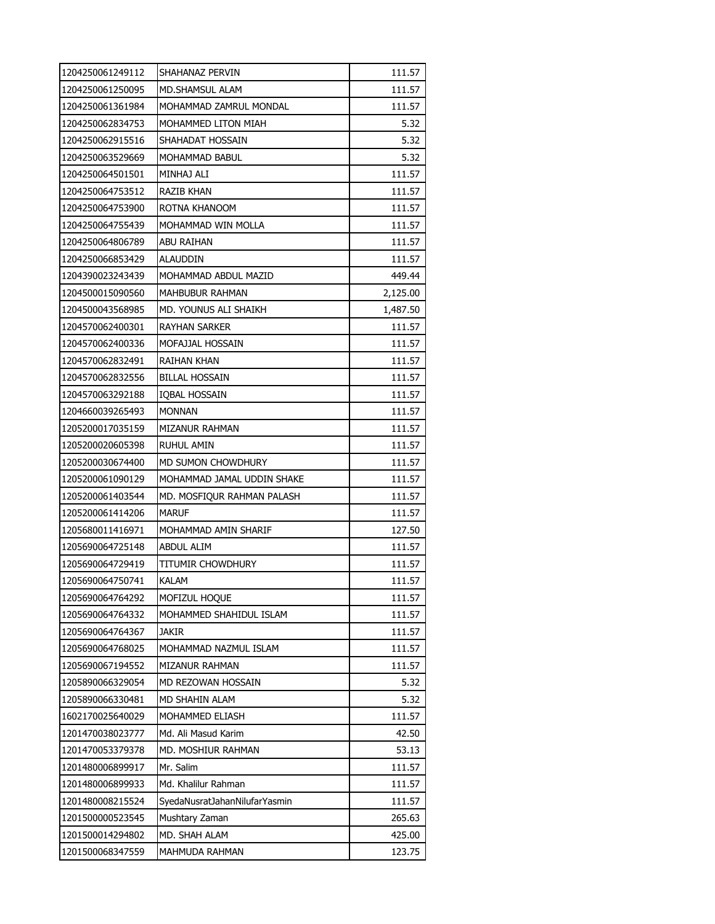| 1204250061249112 | SHAHANAZ PERVIN               | 111.57   |
|------------------|-------------------------------|----------|
| 1204250061250095 | <b>MD.SHAMSUL ALAM</b>        | 111.57   |
| 1204250061361984 | MOHAMMAD ZAMRUL MONDAL        | 111.57   |
| 1204250062834753 | MOHAMMED LITON MIAH           | 5.32     |
| 1204250062915516 | SHAHADAT HOSSAIN              | 5.32     |
| 1204250063529669 | MOHAMMAD BABUL                | 5.32     |
| 1204250064501501 | MINHAJ ALI                    | 111.57   |
| 1204250064753512 | RAZIB KHAN                    | 111.57   |
| 1204250064753900 | ROTNA KHANOOM                 | 111.57   |
| 1204250064755439 | MOHAMMAD WIN MOLLA            | 111.57   |
| 1204250064806789 | <b>ABU RAIHAN</b>             | 111.57   |
| 1204250066853429 | ALAUDDIN                      | 111.57   |
| 1204390023243439 | MOHAMMAD ABDUL MAZID          | 449.44   |
| 1204500015090560 | <b>MAHBUBUR RAHMAN</b>        | 2,125.00 |
| 1204500043568985 | MD. YOUNUS ALI SHAIKH         | 1,487.50 |
| 1204570062400301 | <b>RAYHAN SARKER</b>          | 111.57   |
| 1204570062400336 | MOFAJJAL HOSSAIN              | 111.57   |
| 1204570062832491 | <b>RAIHAN KHAN</b>            | 111.57   |
| 1204570062832556 | <b>BILLAL HOSSAIN</b>         | 111.57   |
| 1204570063292188 | IQBAL HOSSAIN                 | 111.57   |
| 1204660039265493 | <b>MONNAN</b>                 | 111.57   |
| 1205200017035159 | MIZANUR RAHMAN                | 111.57   |
| 1205200020605398 | <b>RUHUL AMIN</b>             | 111.57   |
| 1205200030674400 | MD SUMON CHOWDHURY            | 111.57   |
| 1205200061090129 | MOHAMMAD JAMAL UDDIN SHAKE    | 111.57   |
| 1205200061403544 | MD. MOSFIQUR RAHMAN PALASH    | 111.57   |
| 1205200061414206 | <b>MARUF</b>                  | 111.57   |
| 1205680011416971 | MOHAMMAD AMIN SHARIF          | 127.50   |
| 1205690064725148 | <b>ABDUL ALIM</b>             | 111.57   |
| 1205690064729419 | TITUMIR CHOWDHURY             | 111.57   |
| 1205690064750741 | <b>KALAM</b>                  | 111.57   |
| 1205690064764292 | MOFIZUL HOQUE                 | 111.57   |
| 1205690064764332 | MOHAMMED SHAHIDUL ISLAM       | 111.57   |
| 1205690064764367 | jakir                         | 111.57   |
| 1205690064768025 | MOHAMMAD NAZMUL ISLAM         | 111.57   |
| 1205690067194552 | MIZANUR RAHMAN                | 111.57   |
| 1205890066329054 | MD REZOWAN HOSSAIN            | 5.32     |
| 1205890066330481 | MD SHAHIN ALAM                | 5.32     |
| 1602170025640029 | MOHAMMED ELIASH               | 111.57   |
| 1201470038023777 | Md. Ali Masud Karim           | 42.50    |
| 1201470053379378 | MD. MOSHIUR RAHMAN            | 53.13    |
| 1201480006899917 | Mr. Salim                     | 111.57   |
| 1201480006899933 | Md. Khalilur Rahman           | 111.57   |
| 1201480008215524 | SyedaNusratJahanNilufarYasmin | 111.57   |
| 1201500000523545 | Mushtary Zaman                | 265.63   |
| 1201500014294802 | MD. SHAH ALAM                 | 425.00   |
| 1201500068347559 | MAHMUDA RAHMAN                | 123.75   |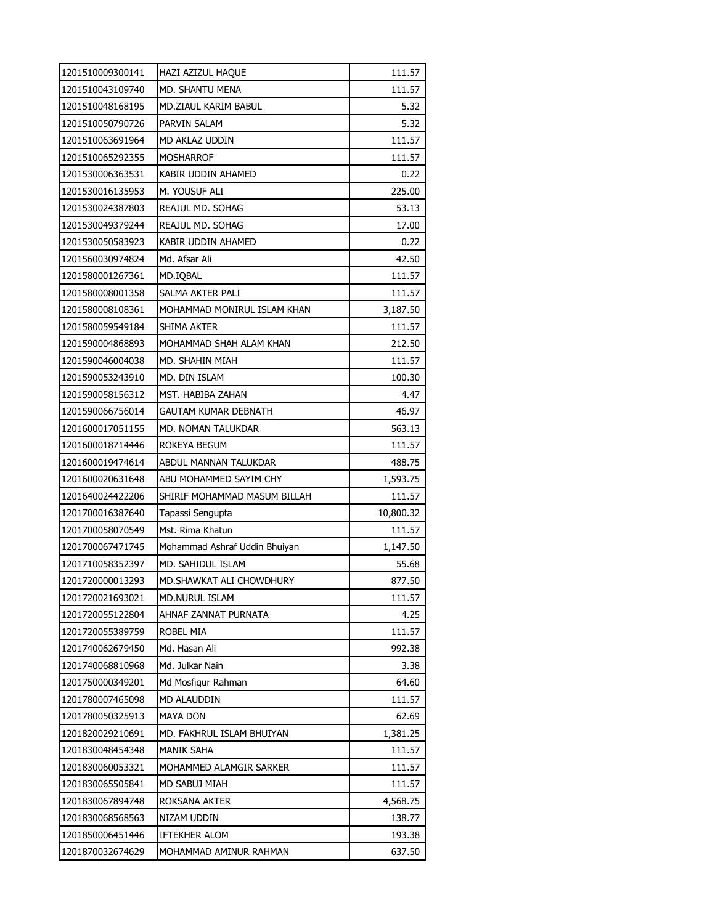| 1201510009300141 | HAZI AZIZUL HAQUE             | 111.57    |
|------------------|-------------------------------|-----------|
| 1201510043109740 | MD. SHANTU MENA               | 111.57    |
| 1201510048168195 | MD.ZIAUL KARIM BABUL          | 5.32      |
| 1201510050790726 | PARVIN SALAM                  | 5.32      |
| 1201510063691964 | MD AKLAZ UDDIN                | 111.57    |
| 1201510065292355 | MOSHARROF                     | 111.57    |
| 1201530006363531 | KABIR UDDIN AHAMED            | 0.22      |
| 1201530016135953 | M. YOUSUF ALI                 | 225.00    |
| 1201530024387803 | REAJUL MD. SOHAG              | 53.13     |
| 1201530049379244 | REAJUL MD. SOHAG              | 17.00     |
| 1201530050583923 | KABIR UDDIN AHAMED            | 0.22      |
| 1201560030974824 | Md. Afsar Ali                 | 42.50     |
| 1201580001267361 | MD.IQBAL                      | 111.57    |
| 1201580008001358 | SALMA AKTER PALI              | 111.57    |
| 1201580008108361 | MOHAMMAD MONIRUL ISLAM KHAN   | 3,187.50  |
| 1201580059549184 | SHIMA AKTER                   | 111.57    |
| 1201590004868893 | MOHAMMAD SHAH ALAM KHAN       | 212.50    |
| 1201590046004038 | MD. SHAHIN MIAH               | 111.57    |
| 1201590053243910 | MD. DIN ISLAM                 | 100.30    |
| 1201590058156312 | MST. HABIBA ZAHAN             | 4.47      |
| 1201590066756014 | GAUTAM KUMAR DEBNATH          | 46.97     |
| 1201600017051155 | MD. NOMAN TALUKDAR            | 563.13    |
| 1201600018714446 | ROKEYA BEGUM                  | 111.57    |
| 1201600019474614 | ABDUL MANNAN TALUKDAR         | 488.75    |
| 1201600020631648 | ABU MOHAMMED SAYIM CHY        | 1,593.75  |
| 1201640024422206 | SHIRIF MOHAMMAD MASUM BILLAH  | 111.57    |
| 1201700016387640 | Tapassi Sengupta              | 10,800.32 |
| 1201700058070549 | Mst. Rima Khatun              | 111.57    |
| 1201700067471745 | Mohammad Ashraf Uddin Bhuiyan | 1,147.50  |
| 1201710058352397 | MD. SAHIDUL ISLAM             | 55.68     |
| 1201720000013293 | MD. SHAWKAT ALI CHOWDHURY     | 877.50    |
| 1201720021693021 | <b>MD.NURUL ISLAM</b>         | 111.57    |
| 1201720055122804 | AHNAF ZANNAT PURNATA          | 4.25      |
| 1201720055389759 | ROBEL MIA                     | 111.57    |
| 1201740062679450 | Md. Hasan Ali                 | 992.38    |
| 1201740068810968 | Md. Julkar Nain               | 3.38      |
| 1201750000349201 | Md Mosfigur Rahman            | 64.60     |
| 1201780007465098 | <b>MD ALAUDDIN</b>            | 111.57    |
| 1201780050325913 | MAYA DON                      | 62.69     |
| 1201820029210691 | MD. FAKHRUL ISLAM BHUIYAN     | 1,381.25  |
| 1201830048454348 | MANIK SAHA                    | 111.57    |
| 1201830060053321 | MOHAMMED ALAMGIR SARKER       | 111.57    |
| 1201830065505841 | MD SABUJ MIAH                 | 111.57    |
| 1201830067894748 | ROKSANA AKTER                 | 4,568.75  |
| 1201830068568563 | NIZAM UDDIN                   | 138.77    |
| 1201850006451446 | IFTEKHER ALOM                 | 193.38    |
| 1201870032674629 | MOHAMMAD AMINUR RAHMAN        | 637.50    |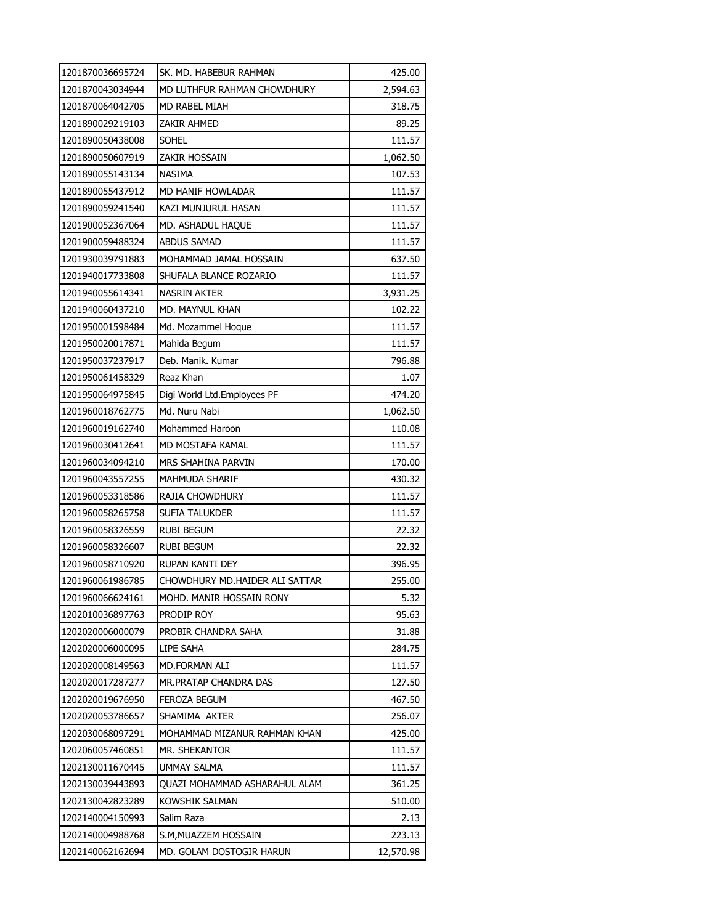| 1201870036695724 | SK. MD. HABEBUR RAHMAN         | 425.00    |
|------------------|--------------------------------|-----------|
| 1201870043034944 | MD LUTHFUR RAHMAN CHOWDHURY    | 2,594.63  |
| 1201870064042705 | MD RABEL MIAH                  | 318.75    |
| 1201890029219103 | ZAKIR AHMED                    | 89.25     |
| 1201890050438008 | <b>SOHEL</b>                   | 111.57    |
| 1201890050607919 | zakir hossain                  | 1,062.50  |
| 1201890055143134 | <b>NASIMA</b>                  | 107.53    |
| 1201890055437912 | MD HANIF HOWLADAR              | 111.57    |
| 1201890059241540 | KAZI MUNJURUL HASAN            | 111.57    |
| 1201900052367064 | MD. ASHADUL HAQUE              | 111.57    |
| 1201900059488324 | <b>ABDUS SAMAD</b>             | 111.57    |
| 1201930039791883 | MOHAMMAD JAMAL HOSSAIN         | 637.50    |
| 1201940017733808 | SHUFALA BLANCE ROZARIO         | 111.57    |
| 1201940055614341 | NASRIN AKTER                   | 3,931.25  |
| 1201940060437210 | MD. MAYNUL KHAN                | 102.22    |
| 1201950001598484 | Md. Mozammel Hoque             | 111.57    |
| 1201950020017871 | Mahida Begum                   | 111.57    |
| 1201950037237917 | Deb. Manik. Kumar              | 796.88    |
| 1201950061458329 | Reaz Khan                      | 1.07      |
| 1201950064975845 | Digi World Ltd.Employees PF    | 474.20    |
| 1201960018762775 | Md. Nuru Nabi                  | 1,062.50  |
| 1201960019162740 | Mohammed Haroon                | 110.08    |
| 1201960030412641 | MD MOSTAFA KAMAL               | 111.57    |
| 1201960034094210 | MRS SHAHINA PARVIN             | 170.00    |
| 1201960043557255 | MAHMUDA SHARIF                 | 430.32    |
| 1201960053318586 | RAJIA CHOWDHURY                | 111.57    |
| 1201960058265758 | SUFIA TALUKDER                 | 111.57    |
| 1201960058326559 | <b>RUBI BEGUM</b>              | 22.32     |
| 1201960058326607 | <b>RUBI BEGUM</b>              | 22.32     |
| 1201960058710920 | RUPAN KANTI DEY                | 396.95    |
| 1201960061986785 | CHOWDHURY MD.HAIDER ALI SATTAR | 255.00    |
| 1201960066624161 | MOHD. MANIR HOSSAIN RONY       | 5.32      |
| 1202010036897763 | Prodip Roy                     | 95.63     |
| 1202020006000079 | PROBIR CHANDRA SAHA            | 31.88     |
| 1202020006000095 | LIPE SAHA                      | 284.75    |
| 1202020008149563 | MD.FORMAN ALI                  | 111.57    |
| 1202020017287277 | MR.PRATAP CHANDRA DAS          | 127.50    |
| 1202020019676950 | FEROZA BEGUM                   | 467.50    |
| 1202020053786657 | SHAMIMA AKTER                  | 256.07    |
| 1202030068097291 | MOHAMMAD MIZANUR RAHMAN KHAN   | 425.00    |
| 1202060057460851 | MR. SHEKANTOR                  | 111.57    |
| 1202130011670445 | <b>UMMAY SALMA</b>             | 111.57    |
| 1202130039443893 | QUAZI MOHAMMAD ASHARAHUL ALAM  | 361.25    |
| 1202130042823289 | KOWSHIK SALMAN                 | 510.00    |
| 1202140004150993 | Salim Raza                     | 2.13      |
| 1202140004988768 | S.M,MUAZZEM HOSSAIN            | 223.13    |
| 1202140062162694 | MD. GOLAM DOSTOGIR HARUN       | 12,570.98 |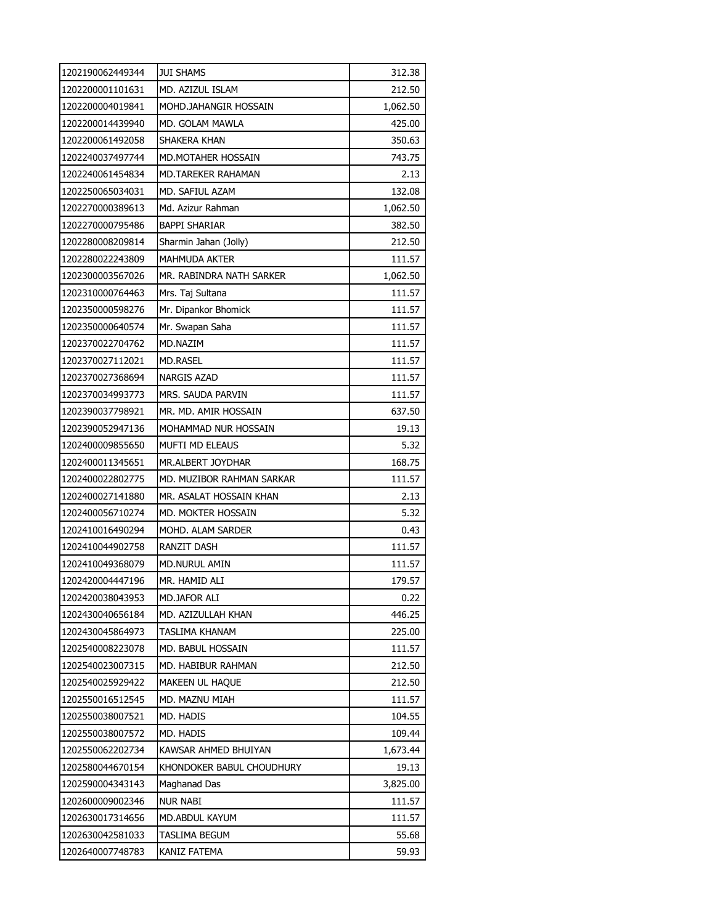| 1202190062449344 | <b>JUI SHAMS</b>          | 312.38   |
|------------------|---------------------------|----------|
| 1202200001101631 | MD. AZIZUL ISLAM          | 212.50   |
| 1202200004019841 | MOHD.JAHANGIR HOSSAIN     | 1,062.50 |
| 1202200014439940 | MD. GOLAM MAWLA           | 425.00   |
| 1202200061492058 | SHAKERA KHAN              | 350.63   |
| 1202240037497744 | MD.MOTAHER HOSSAIN        | 743.75   |
| 1202240061454834 | MD.TAREKER RAHAMAN        | 2.13     |
| 1202250065034031 | MD. SAFIUL AZAM           | 132.08   |
| 1202270000389613 | Md. Azizur Rahman         | 1,062.50 |
| 1202270000795486 | BAPPI SHARIAR             | 382.50   |
| 1202280008209814 | Sharmin Jahan (Jolly)     | 212.50   |
| 1202280022243809 | MAHMUDA AKTER             | 111.57   |
| 1202300003567026 | MR. RABINDRA NATH SARKER  | 1,062.50 |
| 1202310000764463 | Mrs. Taj Sultana          | 111.57   |
| 1202350000598276 | Mr. Dipankor Bhomick      | 111.57   |
| 1202350000640574 | Mr. Swapan Saha           | 111.57   |
| 1202370022704762 | MD.NAZIM                  | 111.57   |
| 1202370027112021 | <b>MD.RASEL</b>           | 111.57   |
| 1202370027368694 | <b>NARGIS AZAD</b>        | 111.57   |
| 1202370034993773 | MRS. SAUDA PARVIN         | 111.57   |
| 1202390037798921 | MR. MD. AMIR HOSSAIN      | 637.50   |
| 1202390052947136 | MOHAMMAD NUR HOSSAIN      | 19.13    |
| 1202400009855650 | MUFTI MD ELEAUS           | 5.32     |
| 1202400011345651 | MR.ALBERT JOYDHAR         | 168.75   |
| 1202400022802775 | MD. MUZIBOR RAHMAN SARKAR | 111.57   |
| 1202400027141880 | MR. ASALAT HOSSAIN KHAN   | 2.13     |
| 1202400056710274 | MD. MOKTER HOSSAIN        | 5.32     |
| 1202410016490294 | MOHD. ALAM SARDER         | 0.43     |
| 1202410044902758 | RANZIT DASH               | 111.57   |
| 1202410049368079 | MD.NURUL AMIN             | 111.57   |
| 1202420004447196 | MR. HAMID ALI             | 179.57   |
| 1202420038043953 | MD.JAFOR ALI              | 0.22     |
| 1202430040656184 | MD. AZIZULLAH KHAN        | 446.25   |
| 1202430045864973 | TASLIMA KHANAM            | 225.00   |
| 1202540008223078 | MD. BABUL HOSSAIN         | 111.57   |
| 1202540023007315 | MD. HABIBUR RAHMAN        | 212.50   |
| 1202540025929422 | MAKEEN UL HAQUE           | 212.50   |
| 1202550016512545 | MD. MAZNU MIAH            | 111.57   |
| 1202550038007521 | MD. HADIS                 | 104.55   |
| 1202550038007572 | <b>MD. HADIS</b>          | 109.44   |
| 1202550062202734 | KAWSAR AHMED BHUIYAN      | 1,673.44 |
| 1202580044670154 | KHONDOKER BABUL CHOUDHURY | 19.13    |
| 1202590004343143 | Maghanad Das              | 3,825.00 |
| 1202600009002346 | <b>NUR NABI</b>           | 111.57   |
| 1202630017314656 | MD.ABDUL KAYUM            | 111.57   |
| 1202630042581033 | TASLIMA BEGUM             | 55.68    |
| 1202640007748783 | KANIZ FATEMA              | 59.93    |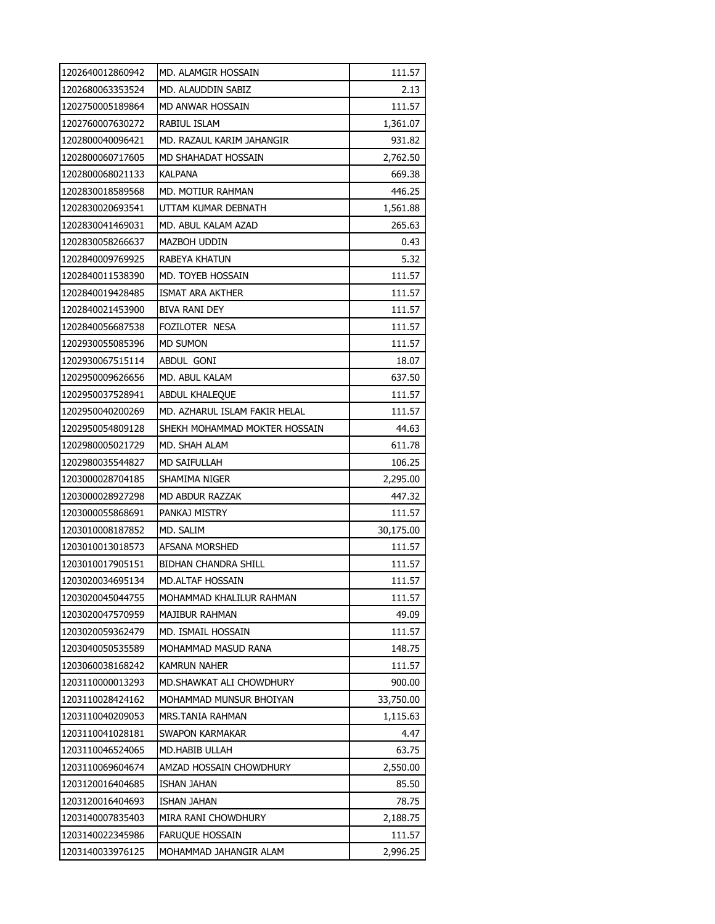| 1202640012860942 | MD. ALAMGIR HOSSAIN           | 111.57    |
|------------------|-------------------------------|-----------|
| 1202680063353524 | MD. ALAUDDIN SABIZ            | 2.13      |
| 1202750005189864 | MD ANWAR HOSSAIN              | 111.57    |
| 1202760007630272 | RABIUL ISLAM                  | 1,361.07  |
| 1202800040096421 | MD. RAZAUL KARIM JAHANGIR     | 931.82    |
| 1202800060717605 | MD SHAHADAT HOSSAIN           | 2,762.50  |
| 1202800068021133 | KALPANA                       | 669.38    |
| 1202830018589568 | MD. MOTIUR RAHMAN             | 446.25    |
| 1202830020693541 | UTTAM KUMAR DEBNATH           | 1,561.88  |
| 1202830041469031 | MD. ABUL KALAM AZAD           | 265.63    |
| 1202830058266637 | MAZBOH UDDIN                  | 0.43      |
| 1202840009769925 | RABEYA KHATUN                 | 5.32      |
| 1202840011538390 | MD. TOYEB HOSSAIN             | 111.57    |
| 1202840019428485 | ISMAT ARA AKTHER              | 111.57    |
| 1202840021453900 | BIVA RANI DEY                 | 111.57    |
| 1202840056687538 | FOZILOTER NESA                | 111.57    |
| 1202930055085396 | MD SUMON                      | 111.57    |
| 1202930067515114 | ABDUL GONI                    | 18.07     |
| 1202950009626656 | MD. ABUL KALAM                | 637.50    |
| 1202950037528941 | <b>ABDUL KHALEQUE</b>         | 111.57    |
| 1202950040200269 | MD. AZHARUL ISLAM FAKIR HELAL | 111.57    |
| 1202950054809128 | SHEKH MOHAMMAD MOKTER HOSSAIN | 44.63     |
| 1202980005021729 | MD. SHAH ALAM                 | 611.78    |
| 1202980035544827 | MD SAIFULLAH                  | 106.25    |
| 1203000028704185 | SHAMIMA NIGER                 | 2,295.00  |
| 1203000028927298 | MD ABDUR RAZZAK               | 447.32    |
| 1203000055868691 | PANKAJ MISTRY                 | 111.57    |
| 1203010008187852 | MD. SALIM                     | 30,175.00 |
| 1203010013018573 | AFSANA MORSHED                | 111.57    |
| 1203010017905151 | <b>BIDHAN CHANDRA SHILL</b>   | 111.57    |
| 1203020034695134 | MD.ALTAF HOSSAIN              | 111.57    |
| 1203020045044755 | MOHAMMAD KHALILUR RAHMAN      | 111.57    |
| 1203020047570959 | MAJIBUR RAHMAN                | 49.09     |
| 1203020059362479 | MD. ISMAIL HOSSAIN            | 111.57    |
| 1203040050535589 | MOHAMMAD MASUD RANA           | 148.75    |
| 1203060038168242 | KAMRUN NAHER                  | 111.57    |
| 1203110000013293 | MD.SHAWKAT ALI CHOWDHURY      | 900.00    |
| 1203110028424162 | MOHAMMAD MUNSUR BHOIYAN       | 33,750.00 |
| 1203110040209053 | MRS.TANIA RAHMAN              | 1,115.63  |
| 1203110041028181 | SWAPON KARMAKAR               | 4.47      |
| 1203110046524065 | MD.HABIB ULLAH                | 63.75     |
| 1203110069604674 | AMZAD HOSSAIN CHOWDHURY       | 2,550.00  |
| 1203120016404685 | ISHAN JAHAN                   | 85.50     |
| 1203120016404693 | <b>ISHAN JAHAN</b>            | 78.75     |
| 1203140007835403 | MIRA RANI CHOWDHURY           | 2,188.75  |
| 1203140022345986 | FARUQUE HOSSAIN               | 111.57    |
| 1203140033976125 | MOHAMMAD JAHANGIR ALAM        | 2,996.25  |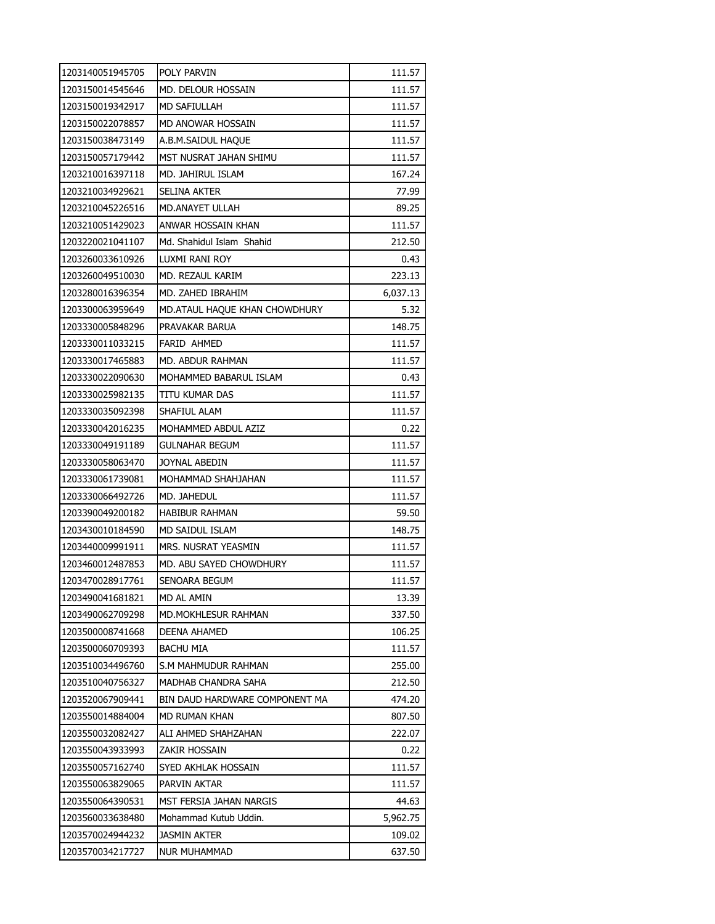| 1203140051945705 | POLY PARVIN                    | 111.57   |
|------------------|--------------------------------|----------|
| 1203150014545646 | MD. DELOUR HOSSAIN             | 111.57   |
| 1203150019342917 | <b>MD SAFIULLAH</b>            | 111.57   |
| 1203150022078857 | MD ANOWAR HOSSAIN              | 111.57   |
| 1203150038473149 | A.B.M.SAIDUL HAQUE             | 111.57   |
| 1203150057179442 | MST NUSRAT JAHAN SHIMU         | 111.57   |
| 1203210016397118 | MD. JAHIRUL ISLAM              | 167.24   |
| 1203210034929621 | SELINA AKTER                   | 77.99    |
| 1203210045226516 | MD.ANAYET ULLAH                | 89.25    |
| 1203210051429023 | ANWAR HOSSAIN KHAN             | 111.57   |
| 1203220021041107 | Md. Shahidul Islam Shahid      | 212.50   |
| 1203260033610926 | LUXMI RANI ROY                 | 0.43     |
| 1203260049510030 | MD. REZAUL KARIM               | 223.13   |
| 1203280016396354 | MD. ZAHED IBRAHIM              | 6,037.13 |
| 1203300063959649 | MD.ATAUL HAQUE KHAN CHOWDHURY  | 5.32     |
| 1203330005848296 | PRAVAKAR BARUA                 | 148.75   |
| 1203330011033215 | FARID AHMED                    | 111.57   |
| 1203330017465883 | MD. ABDUR RAHMAN               | 111.57   |
| 1203330022090630 | MOHAMMED BABARUL ISLAM         | 0.43     |
| 1203330025982135 | TITU KUMAR DAS                 | 111.57   |
| 1203330035092398 | SHAFIUL ALAM                   | 111.57   |
| 1203330042016235 | MOHAMMED ABDUL AZIZ            | 0.22     |
| 1203330049191189 | GULNAHAR BEGUM                 | 111.57   |
| 1203330058063470 | JOYNAL ABEDIN                  | 111.57   |
| 1203330061739081 | MOHAMMAD SHAHJAHAN             | 111.57   |
| 1203330066492726 | MD. JAHEDUL                    | 111.57   |
| 1203390049200182 | HABIBUR RAHMAN                 | 59.50    |
| 1203430010184590 | MD SAIDUL ISLAM                | 148.75   |
| 1203440009991911 | MRS. NUSRAT YEASMIN            | 111.57   |
| 1203460012487853 | MD. ABU SAYED CHOWDHURY        | 111.57   |
| 1203470028917761 | SENOARA BEGUM                  | 111.57   |
| 1203490041681821 | MD AL AMIN                     | 13.39    |
| 1203490062709298 | <b>MD.MOKHLESUR RAHMAN</b>     | 337.50   |
| 1203500008741668 | DEENA AHAMED                   | 106.25   |
| 1203500060709393 | BACHU MIA                      | 111.57   |
| 1203510034496760 | S.M MAHMUDUR RAHMAN            | 255.00   |
| 1203510040756327 | MADHAB CHANDRA SAHA            | 212.50   |
| 1203520067909441 | BIN DAUD HARDWARE COMPONENT MA | 474.20   |
| 1203550014884004 | MD RUMAN KHAN                  | 807.50   |
| 1203550032082427 | ALI AHMED SHAHZAHAN            | 222.07   |
| 1203550043933993 | zakir hossain                  | 0.22     |
| 1203550057162740 | SYED AKHLAK HOSSAIN            | 111.57   |
| 1203550063829065 | PARVIN AKTAR                   | 111.57   |
| 1203550064390531 | MST FERSIA JAHAN NARGIS        | 44.63    |
| 1203560033638480 | Mohammad Kutub Uddin.          | 5,962.75 |
| 1203570024944232 | JASMIN AKTER                   | 109.02   |
| 1203570034217727 | NUR MUHAMMAD                   | 637.50   |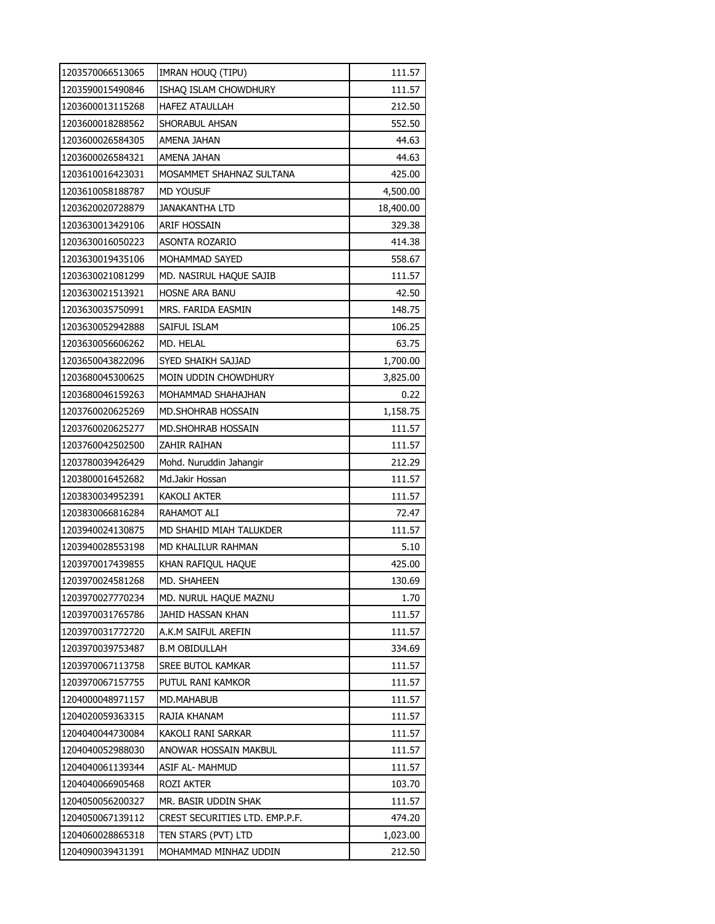| 1203570066513065 | IMRAN HOUQ (TIPU)              | 111.57    |
|------------------|--------------------------------|-----------|
| 1203590015490846 | ISHAQ ISLAM CHOWDHURY          | 111.57    |
| 1203600013115268 | <b>HAFEZ ATAULLAH</b>          | 212.50    |
| 1203600018288562 | SHORABUL AHSAN                 | 552.50    |
| 1203600026584305 | AMENA JAHAN                    | 44.63     |
| 1203600026584321 | AMENA JAHAN                    | 44.63     |
| 1203610016423031 | MOSAMMET SHAHNAZ SULTANA       | 425.00    |
| 1203610058188787 | <b>MD YOUSUF</b>               | 4,500.00  |
| 1203620020728879 | JANAKANTHA LTD                 | 18,400.00 |
| 1203630013429106 | ARIF HOSSAIN                   | 329.38    |
| 1203630016050223 | <b>ASONTA ROZARIO</b>          | 414.38    |
| 1203630019435106 | MOHAMMAD SAYED                 | 558.67    |
| 1203630021081299 | MD. NASIRUL HAQUE SAJIB        | 111.57    |
| 1203630021513921 | <b>HOSNE ARA BANU</b>          | 42.50     |
| 1203630035750991 | MRS. FARIDA EASMIN             | 148.75    |
| 1203630052942888 | SAIFUL ISLAM                   | 106.25    |
| 1203630056606262 | MD. HELAL                      | 63.75     |
| 1203650043822096 | SYED SHAIKH SAJJAD             | 1,700.00  |
| 1203680045300625 | MOIN UDDIN CHOWDHURY           | 3,825.00  |
| 1203680046159263 | MOHAMMAD SHAHAJHAN             | 0.22      |
| 1203760020625269 | <b>MD.SHOHRAB HOSSAIN</b>      | 1,158.75  |
| 1203760020625277 | MD.SHOHRAB HOSSAIN             | 111.57    |
| 1203760042502500 | ZAHIR RAIHAN                   | 111.57    |
| 1203780039426429 | Mohd. Nuruddin Jahangir        | 212.29    |
| 1203800016452682 | Md.Jakir Hossan                | 111.57    |
| 1203830034952391 | <b>KAKOLI AKTER</b>            | 111.57    |
| 1203830066816284 | RAHAMOT ALI                    | 72.47     |
| 1203940024130875 | MD SHAHID MIAH TALUKDER        | 111.57    |
| 1203940028553198 | MD KHALILUR RAHMAN             | 5.10      |
| 1203970017439855 | KHAN RAFIQUL HAQUE             | 425.00    |
| 1203970024581268 | MD. SHAHEEN                    | 130.69    |
| 1203970027770234 | MD. NURUL HAQUE MAZNU          | 1.70      |
| 1203970031765786 | JAHID HASSAN KHAN              | 111.57    |
| 1203970031772720 | A.K.M SAIFUL AREFIN            | 111.57    |
| 1203970039753487 | <b>B.M OBIDULLAH</b>           | 334.69    |
| 1203970067113758 | <b>SREE BUTOL KAMKAR</b>       | 111.57    |
| 1203970067157755 | PUTUL RANI KAMKOR              | 111.57    |
| 1204000048971157 | MD.MAHABUB                     | 111.57    |
| 1204020059363315 | RAJIA KHANAM                   | 111.57    |
| 1204040044730084 | KAKOLI RANI SARKAR             | 111.57    |
| 1204040052988030 | ANOWAR HOSSAIN MAKBUL          | 111.57    |
| 1204040061139344 | ASIF AL- MAHMUD                | 111.57    |
| 1204040066905468 | <b>ROZI AKTER</b>              | 103.70    |
| 1204050056200327 | MR. BASIR UDDIN SHAK           | 111.57    |
| 1204050067139112 | CREST SECURITIES LTD. EMP.P.F. | 474.20    |
| 1204060028865318 | TEN STARS (PVT) LTD            | 1,023.00  |
| 1204090039431391 | MOHAMMAD MINHAZ UDDIN          | 212.50    |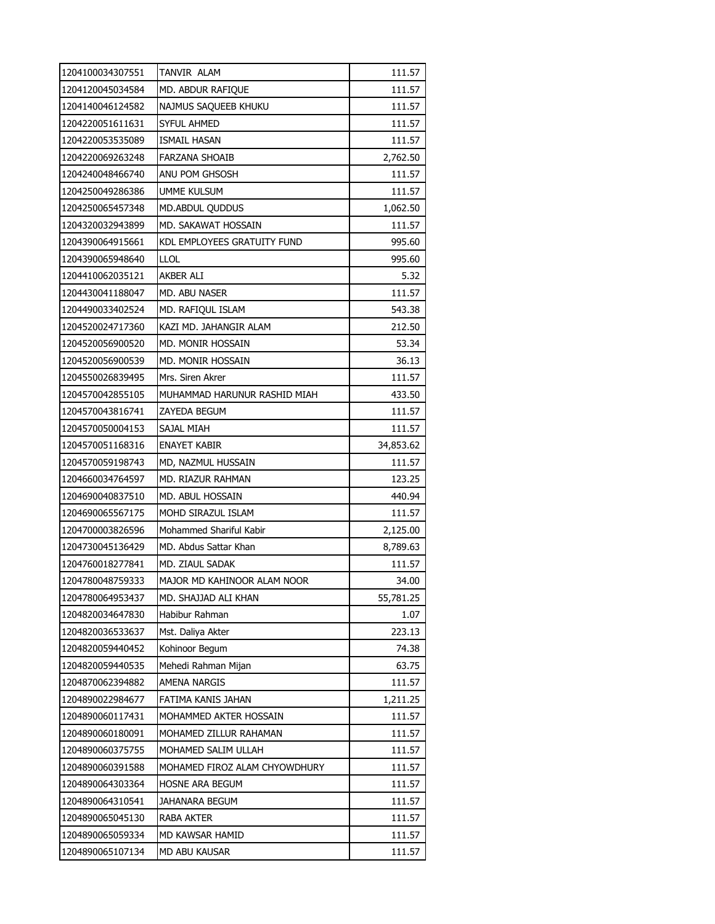| 1204100034307551 | TANVIR ALAM                   | 111.57    |
|------------------|-------------------------------|-----------|
| 1204120045034584 | MD. ABDUR RAFIQUE             | 111.57    |
| 1204140046124582 | NAJMUS SAQUEEB KHUKU          | 111.57    |
| 1204220051611631 | <b>SYFUL AHMED</b>            | 111.57    |
| 1204220053535089 | ISMAIL HASAN                  | 111.57    |
| 1204220069263248 | <b>FARZANA SHOAIB</b>         | 2,762.50  |
| 1204240048466740 | ANU POM GHSOSH                | 111.57    |
| 1204250049286386 | <b>UMME KULSUM</b>            | 111.57    |
| 1204250065457348 | MD.ABDUL QUDDUS               | 1,062.50  |
| 1204320032943899 | MD. SAKAWAT HOSSAIN           | 111.57    |
| 1204390064915661 | KDL EMPLOYEES GRATUITY FUND   | 995.60    |
| 1204390065948640 | <b>LLOL</b>                   | 995.60    |
| 1204410062035121 | AKBER ALI                     | 5.32      |
| 1204430041188047 | MD. ABU NASER                 | 111.57    |
| 1204490033402524 | MD. RAFIQUL ISLAM             | 543.38    |
| 1204520024717360 | KAZI MD. JAHANGIR ALAM        | 212.50    |
| 1204520056900520 | MD. MONIR HOSSAIN             | 53.34     |
| 1204520056900539 | MD. MONIR HOSSAIN             | 36.13     |
| 1204550026839495 | Mrs. Siren Akrer              | 111.57    |
| 1204570042855105 | MUHAMMAD HARUNUR RASHID MIAH  | 433.50    |
| 1204570043816741 | ZAYEDA BEGUM                  | 111.57    |
| 1204570050004153 | SAJAL MIAH                    | 111.57    |
| 1204570051168316 | <b>ENAYET KABIR</b>           | 34,853.62 |
| 1204570059198743 | MD, NAZMUL HUSSAIN            | 111.57    |
| 1204660034764597 | MD. RIAZUR RAHMAN             | 123.25    |
| 1204690040837510 | MD. ABUL HOSSAIN              | 440.94    |
| 1204690065567175 | MOHD SIRAZUL ISLAM            | 111.57    |
| 1204700003826596 | Mohammed Shariful Kabir       | 2,125.00  |
| 1204730045136429 | MD. Abdus Sattar Khan         | 8,789.63  |
| 1204760018277841 | MD. ZIAUL SADAK               | 111.57    |
| 1204780048759333 | MAJOR MD KAHINOOR ALAM NOOR   | 34.00     |
| 1204780064953437 | MD. SHAJJAD ALI KHAN          | 55,781.25 |
| 1204820034647830 | Habibur Rahman                | 1.07      |
| 1204820036533637 | Mst. Daliya Akter             | 223.13    |
| 1204820059440452 | Kohinoor Begum                | 74.38     |
| 1204820059440535 | Mehedi Rahman Mijan           | 63.75     |
| 1204870062394882 | AMENA NARGIS                  | 111.57    |
| 1204890022984677 | FATIMA KANIS JAHAN            | 1,211.25  |
| 1204890060117431 | MOHAMMED AKTER HOSSAIN        | 111.57    |
| 1204890060180091 | MOHAMED ZILLUR RAHAMAN        | 111.57    |
| 1204890060375755 | MOHAMED SALIM ULLAH           | 111.57    |
| 1204890060391588 | MOHAMED FIROZ ALAM CHYOWDHURY | 111.57    |
| 1204890064303364 | HOSNE ARA BEGUM               | 111.57    |
| 1204890064310541 | JAHANARA BEGUM                | 111.57    |
| 1204890065045130 | RABA AKTER                    | 111.57    |
| 1204890065059334 | MD KAWSAR HAMID               | 111.57    |
| 1204890065107134 | MD ABU KAUSAR                 | 111.57    |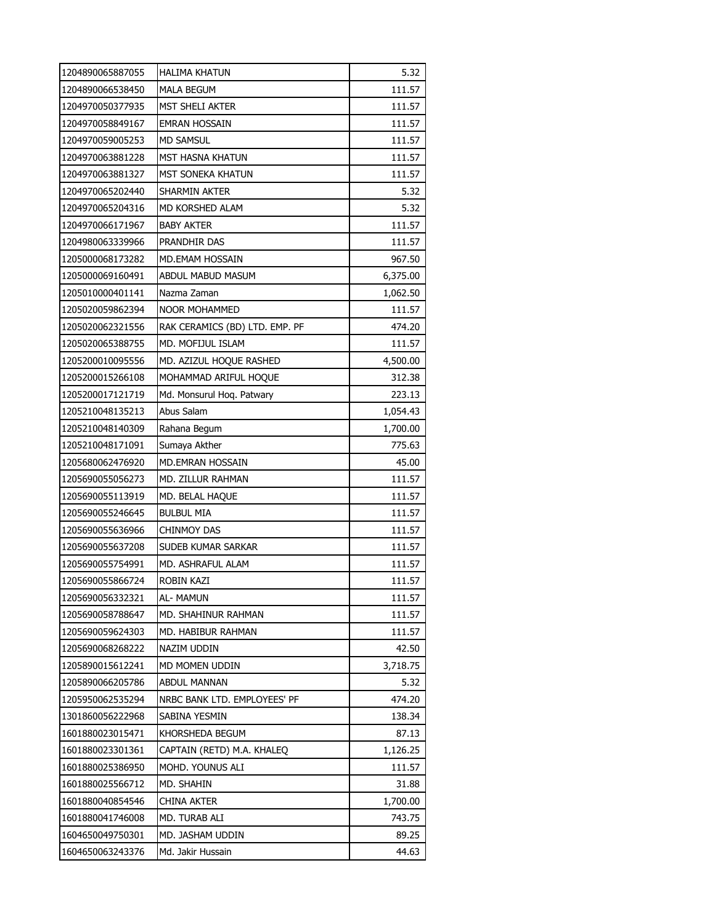| 1204890065887055 | HALIMA KHATUN                  | 5.32     |
|------------------|--------------------------------|----------|
| 1204890066538450 | <b>MALA BEGUM</b>              | 111.57   |
| 1204970050377935 | <b>MST SHELI AKTER</b>         | 111.57   |
| 1204970058849167 | <b>EMRAN HOSSAIN</b>           | 111.57   |
| 1204970059005253 | <b>MD SAMSUL</b>               | 111.57   |
| 1204970063881228 | MST HASNA KHATUN               | 111.57   |
| 1204970063881327 | MST SONEKA KHATUN              | 111.57   |
| 1204970065202440 | SHARMIN AKTER                  | 5.32     |
| 1204970065204316 | MD KORSHED ALAM                | 5.32     |
| 1204970066171967 | <b>BABY AKTER</b>              | 111.57   |
| 1204980063339966 | PRANDHIR DAS                   | 111.57   |
| 1205000068173282 | MD.EMAM HOSSAIN                | 967.50   |
| 1205000069160491 | ABDUL MABUD MASUM              | 6,375.00 |
| 1205010000401141 | Nazma Zaman                    | 1,062.50 |
| 1205020059862394 | NOOR MOHAMMED                  | 111.57   |
| 1205020062321556 | RAK CERAMICS (BD) LTD. EMP. PF | 474.20   |
| 1205020065388755 | MD. MOFIJUL ISLAM              | 111.57   |
| 1205200010095556 | MD. AZIZUL HOQUE RASHED        | 4,500.00 |
| 1205200015266108 | MOHAMMAD ARIFUL HOQUE          | 312.38   |
| 1205200017121719 | Md. Monsurul Hoq. Patwary      | 223.13   |
| 1205210048135213 | Abus Salam                     | 1,054.43 |
| 1205210048140309 | Rahana Begum                   | 1,700.00 |
| 1205210048171091 | Sumaya Akther                  | 775.63   |
| 1205680062476920 | MD.EMRAN HOSSAIN               | 45.00    |
| 1205690055056273 | MD. ZILLUR RAHMAN              | 111.57   |
| 1205690055113919 | MD. BELAL HAQUE                | 111.57   |
| 1205690055246645 | <b>BULBUL MIA</b>              | 111.57   |
| 1205690055636966 | <b>CHINMOY DAS</b>             | 111.57   |
| 1205690055637208 | SUDEB KUMAR SARKAR             | 111.57   |
| 1205690055754991 | MD. ASHRAFUL ALAM              | 111.57   |
| 1205690055866724 | ROBIN KAZI                     | 111.57   |
| 1205690056332321 | AL- MAMUN                      | 111.57   |
| 1205690058788647 | MD. SHAHINUR RAHMAN            | 111.57   |
| 1205690059624303 | MD. HABIBUR RAHMAN             | 111.57   |
| 1205690068268222 | NAZIM UDDIN                    | 42.50    |
| 1205890015612241 | MD MOMEN UDDIN                 | 3,718.75 |
| 1205890066205786 | <b>ABDUL MANNAN</b>            | 5.32     |
| 1205950062535294 | NRBC BANK LTD. EMPLOYEES' PF   | 474.20   |
| 1301860056222968 | SABINA YESMIN                  | 138.34   |
| 1601880023015471 | KHORSHEDA BEGUM                | 87.13    |
| 1601880023301361 | CAPTAIN (RETD) M.A. KHALEQ     | 1,126.25 |
| 1601880025386950 | MOHD. YOUNUS ALI               | 111.57   |
| 1601880025566712 | MD. SHAHIN                     | 31.88    |
| 1601880040854546 | CHINA AKTER                    | 1,700.00 |
| 1601880041746008 | MD. TURAB ALI                  | 743.75   |
| 1604650049750301 | MD. JASHAM UDDIN               | 89.25    |
| 1604650063243376 | Md. Jakir Hussain              | 44.63    |